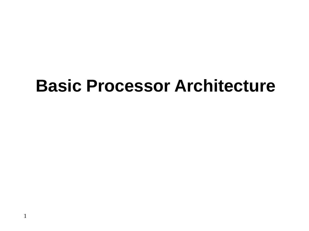# **Basic Processor Architecture**

1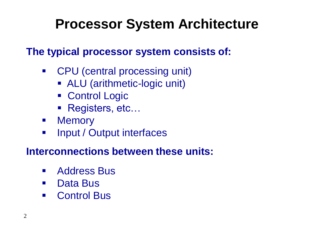# **Processor System Architecture**

#### **The typical processor system consists of:**

- CPU (central processing unit)
	- ALU (arithmetic-logic unit)
	- **Control Logic**
	- Registers, etc...
- **•** Memory
- **Input / Output interfaces**

#### **Interconnections between these units:**

- **Address Bus**
- Data Bus
- **Control Bus**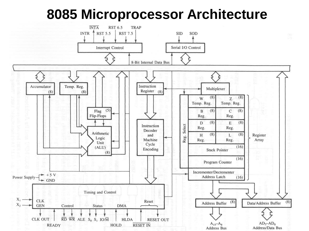### **8085 Microprocessor Architecture**

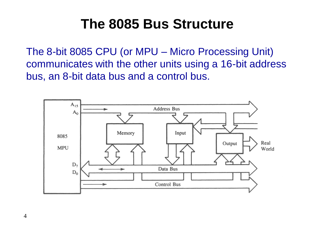### **The 8085 Bus Structure**

The 8-bit 8085 CPU (or MPU – Micro Processing Unit) communicates with the other units using a 16-bit address bus, an 8-bit data bus and a control bus.

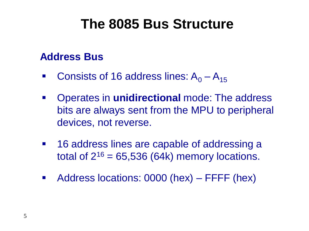### **The 8085 Bus Structure**

#### **Address Bus**

- Consists of 16 address lines:  $A_0 A_{15}$
- Operates in **unidirectional** mode: The address bits are always sent from the MPU to peripheral devices, not reverse.
- **16 address lines are capable of addressing a** total of  $2^{16} = 65,536$  (64k) memory locations.
- Address locations: 0000 (hex) FFFF (hex)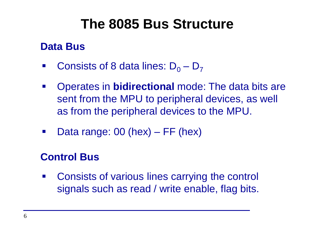## **The 8085 Bus Structure**

#### **Data Bus**

- **Consists of 8 data lines:**  $D_0 D_7$
- Operates in **bidirectional** mode: The data bits are sent from the MPU to peripheral devices, as well as from the peripheral devices to the MPU.
- $\blacksquare$  Data range: 00 (hex) FF (hex)

#### **Control Bus**

**EXECONSERGY CONSERGY CONSISTS OF VARIOUS lines carrying the control** signals such as read / write enable, flag bits.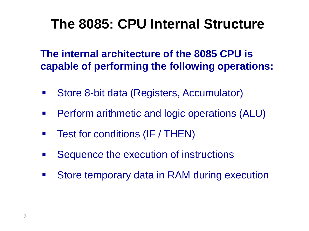## **The 8085: CPU Internal Structure**

**The internal architecture of the 8085 CPU is capable of performing the following operations:**

- Store 8-bit data (Registers, Accumulator)
- **Perform arithmetic and logic operations (ALU)**
- **Test for conditions (IF / THEN)**
- **Sequence the execution of instructions**
- **Store temporary data in RAM during execution**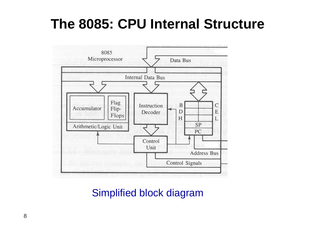### **The 8085: CPU Internal Structure**



Simplified block diagram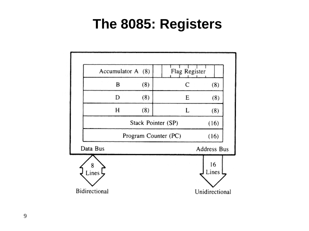### **The 8085: Registers**

|            | Accumulator A (8)    |                    |     |  | Flag Register |                |  |
|------------|----------------------|--------------------|-----|--|---------------|----------------|--|
|            |                      | B                  | (8) |  | C             | (8)            |  |
|            |                      | D                  | (8) |  | E             | (8)            |  |
|            |                      | Н                  | (8) |  | L             | (8)            |  |
|            |                      | Stack Pointer (SP) |     |  |               | (16)           |  |
|            | Program Counter (PC) |                    |     |  |               | (16)           |  |
| Data Bus   |                      |                    |     |  |               | Address Bus    |  |
| 8<br>Lines |                      |                    |     |  |               | 16<br>Lines    |  |
|            | Bidirectional        |                    |     |  |               | Unidirectional |  |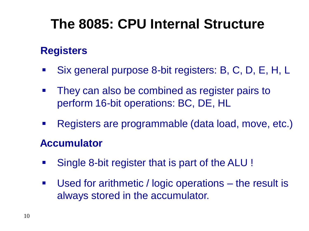# **The 8085: CPU Internal Structure**

#### **Registers**

- Six general purpose 8-bit registers: B, C, D, E, H, L
- **They can also be combined as register pairs to** perform 16-bit operations: BC, DE, HL
- Registers are programmable (data load, move, etc.)

#### **Accumulator**

- Single 8-bit register that is part of the ALU !
- Used for arithmetic / logic operations the result is always stored in the accumulator.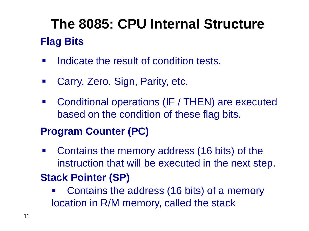# **The 8085: CPU Internal Structure Flag Bits**

- **IDED** Indicate the result of condition tests.
- Carry, Zero, Sign, Parity, etc.
- Conditional operations (IF / THEN) are executed based on the condition of these flag bits.

#### **Program Counter (PC)**

 Contains the memory address (16 bits) of the instruction that will be executed in the next step.

#### **Stack Pointer (SP)**

 Contains the address (16 bits) of a memory location in R/M memory, called the stack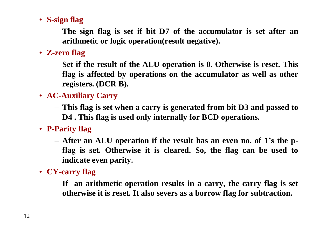- **S-sign flag**
	- **The sign flag is set if bit D7 of the accumulator is set after an arithmetic or logic operation(result negative).**
- **Z-zero flag**
	- **Set if the result of the ALU operation is 0. Otherwise is reset. This flag is affected by operations on the accumulator as well as other registers. (DCR B).**
- **AC-Auxiliary Carry**
	- **This flag is set when a carry is generated from bit D3 and passed to D4 . This flag is used only internally for BCD operations.**
- **P-Parity flag**
	- **After an ALU operation if the result has an even no. of 1's the pflag is set. Otherwise it is cleared. So, the flag can be used to indicate even parity.**
- **CY-carry flag**
	- **If an arithmetic operation results in a carry, the carry flag is set otherwise it is reset. It also severs as a borrow flag for subtraction.**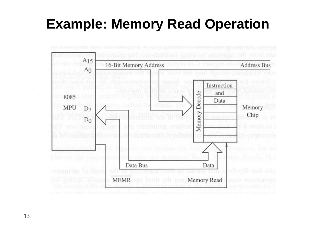### **Example: Memory Read Operation**

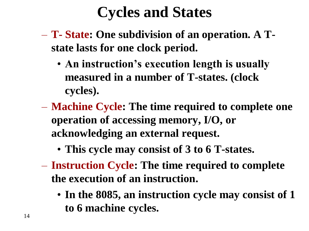# **Cycles and States**

- **T- State: One subdivision of an operation. A Tstate lasts for one clock period.**
	- **An instruction's execution length is usually measured in a number of T-states. (clock cycles).**
- **Machine Cycle: The time required to complete one operation of accessing memory, I/O, or acknowledging an external request.**
	- **This cycle may consist of 3 to 6 T-states.**
- **Instruction Cycle: The time required to complete the execution of an instruction.**
	- **In the 8085, an instruction cycle may consist of 1 to 6 machine cycles.**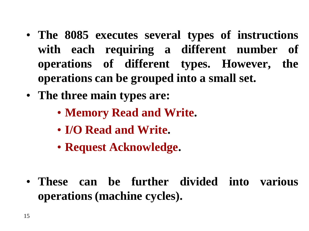- **The 8085 executes several types of instructions with each requiring a different number of operations of different types. However, the operations can be grouped into a small set.**
- **The three main types are:**
	- **Memory Read and Write.**
	- **I/O Read and Write.**
	- **Request Acknowledge.**
- **These can be further divided into various operations (machine cycles).**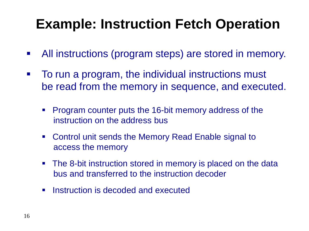# **Example: Instruction Fetch Operation**

- All instructions (program steps) are stored in memory.
- **To run a program, the individual instructions must** be read from the memory in sequence, and executed.
	- **Program counter puts the 16-bit memory address of the** instruction on the address bus
	- Control unit sends the Memory Read Enable signal to access the memory
	- **The 8-bit instruction stored in memory is placed on the data** bus and transferred to the instruction decoder
	- **Instruction is decoded and executed**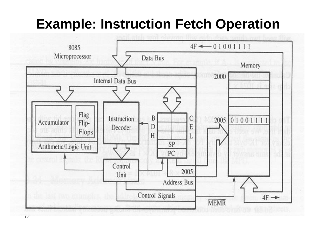### **Example: Instruction Fetch Operation**

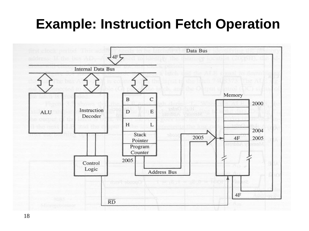### **Example: Instruction Fetch Operation**

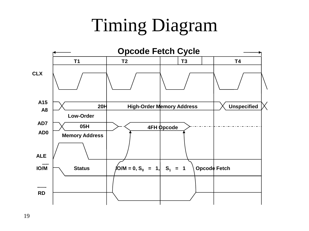# Timing Diagram

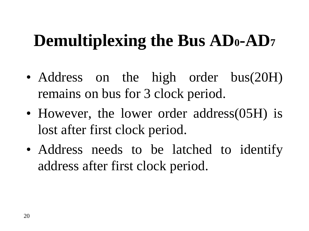# **Demultiplexing the Bus AD0-AD<sup>7</sup>**

- Address on the high order bus(20H) remains on bus for 3 clock period.
- However, the lower order address (05H) is lost after first clock period.
- Address needs to be latched to identify address after first clock period.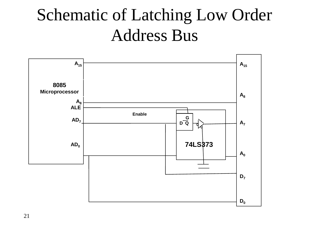# Schematic of Latching Low Order Address Bus

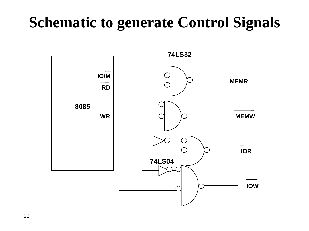# **Schematic to generate Control Signals**